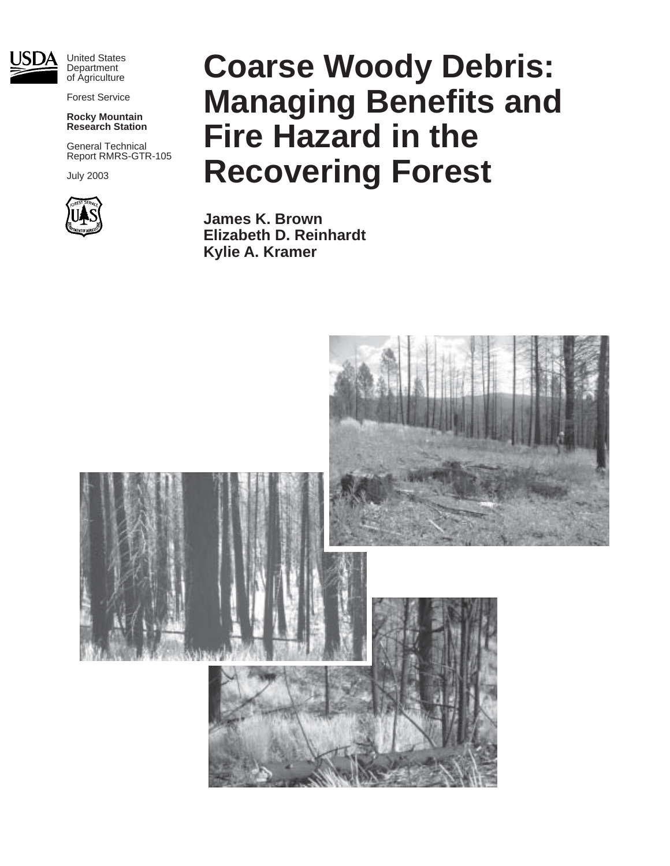

Forest Service

#### **Rocky Mountain Research Station**

General Technical Report RMRS-GTR-105

July 2003



# **Coarse Woody Debris: Managing Benefits and Fire Hazard in the Recovering Forest**

**James K. Brown Elizabeth D. Reinhardt Kylie A. Kramer**

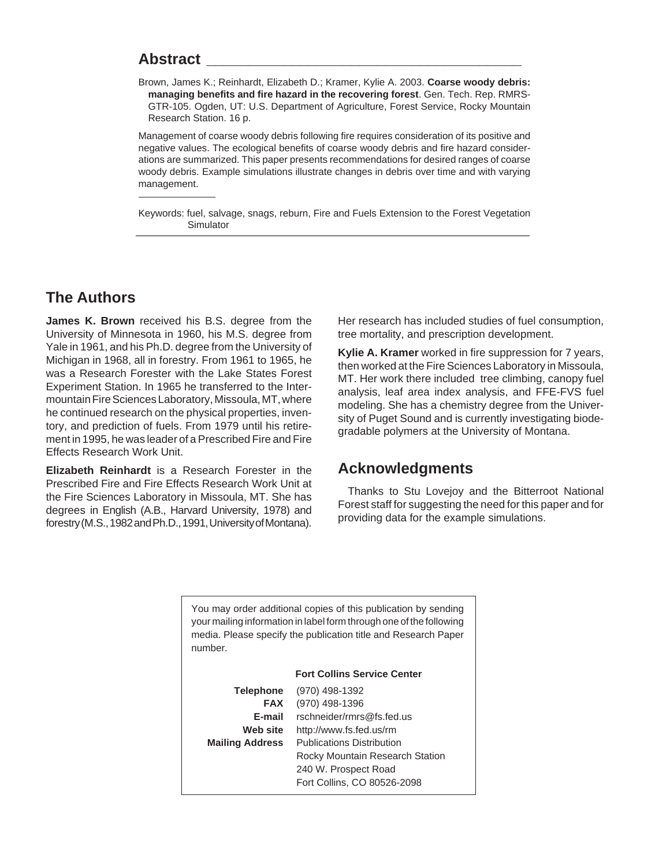## **Abstract \_\_\_\_\_\_\_\_\_\_\_\_\_\_\_\_\_\_\_\_\_\_\_\_\_\_\_\_\_\_\_\_\_\_\_\_\_**

Brown, James K.; Reinhardt, Elizabeth D.; Kramer, Kylie A. 2003. **Coarse woody debris: managing benefits and fire hazard in the recovering forest**. Gen. Tech. Rep. RMRS-GTR-105. Ogden, UT: U.S. Department of Agriculture, Forest Service, Rocky Mountain Research Station. 16 p.

Management of coarse woody debris following fire requires consideration of its positive and negative values. The ecological benefits of coarse woody debris and fire hazard considerations are summarized. This paper presents recommendations for desired ranges of coarse woody debris. Example simulations illustrate changes in debris over time and with varying management.

Keywords: fuel, salvage, snags, reburn, Fire and Fuels Extension to the Forest Vegetation Simulator

## **The Authors**

**James K. Brown** received his B.S. degree from the University of Minnesota in 1960, his M.S. degree from Yale in 1961, and his Ph.D. degree from the University of Michigan in 1968, all in forestry. From 1961 to 1965, he was a Research Forester with the Lake States Forest Experiment Station. In 1965 he transferred to the Intermountain Fire Sciences Laboratory, Missoula, MT, where he continued research on the physical properties, inventory, and prediction of fuels. From 1979 until his retirement in 1995, he was leader of a Prescribed Fire and Fire Effects Research Work Unit.

**Elizabeth Reinhardt** is a Research Forester in the Prescribed Fire and Fire Effects Research Work Unit at the Fire Sciences Laboratory in Missoula, MT. She has degrees in English (A.B., Harvard University, 1978) and forestry (M.S., 1982 and Ph.D., 1991, University of Montana).

Her research has included studies of fuel consumption, tree mortality, and prescription development.

**Kylie A. Kramer** worked in fire suppression for 7 years, then worked at the Fire Sciences Laboratory in Missoula, MT. Her work there included tree climbing, canopy fuel analysis, leaf area index analysis, and FFE-FVS fuel modeling. She has a chemistry degree from the University of Puget Sound and is currently investigating biodegradable polymers at the University of Montana.

## **Acknowledgments**

Thanks to Stu Lovejoy and the Bitterroot National Forest staff for suggesting the need for this paper and for providing data for the example simulations.

You may order additional copies of this publication by sending your mailing information in label form through one of the following media. Please specify the publication title and Research Paper number.

|                        | <b>Fort Collins Service Center</b> |
|------------------------|------------------------------------|
| <b>Telephone</b>       | (970) 498-1392                     |
| <b>FAX</b>             | (970) 498-1396                     |
| F-mail                 | rschneider/rmrs@fs.fed.us          |
| Web site               | http://www.fs.fed.us/rm            |
| <b>Mailing Address</b> | <b>Publications Distribution</b>   |
|                        | Rocky Mountain Research Station    |
|                        | 240 W. Prospect Road               |
|                        | Fort Collins, CO 80526-2098        |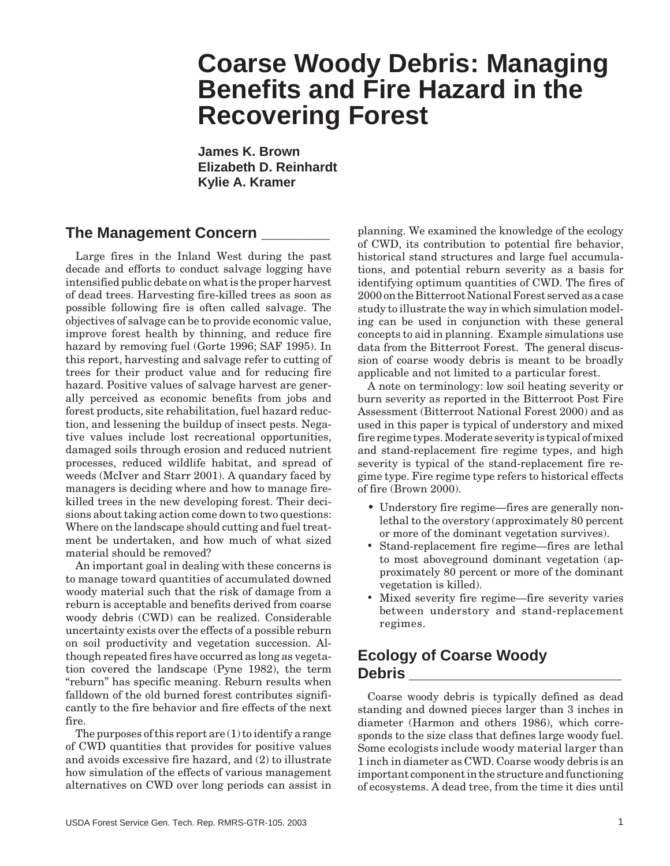## **Coarse Woody Debris: Managing Benefits and Fire Hazard in the Recovering Forest**

**James K. Brown Elizabeth D. Reinhardt Kylie A. Kramer**

## **The Management Concern \_\_\_\_\_\_\_\_**

Large fires in the Inland West during the past decade and efforts to conduct salvage logging have intensified public debate on what is the proper harvest of dead trees. Harvesting fire-killed trees as soon as possible following fire is often called salvage. The objectives of salvage can be to provide economic value, improve forest health by thinning, and reduce fire hazard by removing fuel (Gorte 1996; SAF 1995). In this report, harvesting and salvage refer to cutting of trees for their product value and for reducing fire hazard. Positive values of salvage harvest are generally perceived as economic benefits from jobs and forest products, site rehabilitation, fuel hazard reduction, and lessening the buildup of insect pests. Negative values include lost recreational opportunities, damaged soils through erosion and reduced nutrient processes, reduced wildlife habitat, and spread of weeds (McIver and Starr 2001). A quandary faced by managers is deciding where and how to manage firekilled trees in the new developing forest. Their decisions about taking action come down to two questions: Where on the landscape should cutting and fuel treatment be undertaken, and how much of what sized material should be removed?

An important goal in dealing with these concerns is to manage toward quantities of accumulated downed woody material such that the risk of damage from a reburn is acceptable and benefits derived from coarse woody debris (CWD) can be realized. Considerable uncertainty exists over the effects of a possible reburn on soil productivity and vegetation succession. Although repeated fires have occurred as long as vegetation covered the landscape (Pyne 1982), the term "reburn" has specific meaning. Reburn results when falldown of the old burned forest contributes significantly to the fire behavior and fire effects of the next fire.

The purposes of this report are  $(1)$  to identify a range of CWD quantities that provides for positive values and avoids excessive fire hazard, and (2) to illustrate how simulation of the effects of various management alternatives on CWD over long periods can assist in planning. We examined the knowledge of the ecology of CWD, its contribution to potential fire behavior, historical stand structures and large fuel accumulations, and potential reburn severity as a basis for identifying optimum quantities of CWD. The fires of 2000 on the Bitterroot National Forest served as a case study to illustrate the way in which simulation modeling can be used in conjunction with these general concepts to aid in planning. Example simulations use data from the Bitterroot Forest. The general discussion of coarse woody debris is meant to be broadly applicable and not limited to a particular forest.

A note on terminology: low soil heating severity or burn severity as reported in the Bitterroot Post Fire Assessment (Bitterroot National Forest 2000) and as used in this paper is typical of understory and mixed fire regime types. Moderate severity is typical of mixed and stand-replacement fire regime types, and high severity is typical of the stand-replacement fire regime type. Fire regime type refers to historical effects of fire (Brown 2000).

- Understory fire regime—fires are generally nonlethal to the overstory (approximately 80 percent or more of the dominant vegetation survives).
- Stand-replacement fire regime—fires are lethal to most aboveground dominant vegetation (approximately 80 percent or more of the dominant vegetation is killed).
- Mixed severity fire regime—fire severity varies between understory and stand-replacement regimes.

## **Ecology of Coarse Woody Debris \_\_\_\_\_\_\_\_\_\_\_\_\_\_\_\_\_\_\_\_\_\_\_\_\_**

Coarse woody debris is typically defined as dead standing and downed pieces larger than 3 inches in diameter (Harmon and others 1986), which corresponds to the size class that defines large woody fuel. Some ecologists include woody material larger than 1 inch in diameter as CWD. Coarse woody debris is an important component in the structure and functioning of ecosystems. A dead tree, from the time it dies until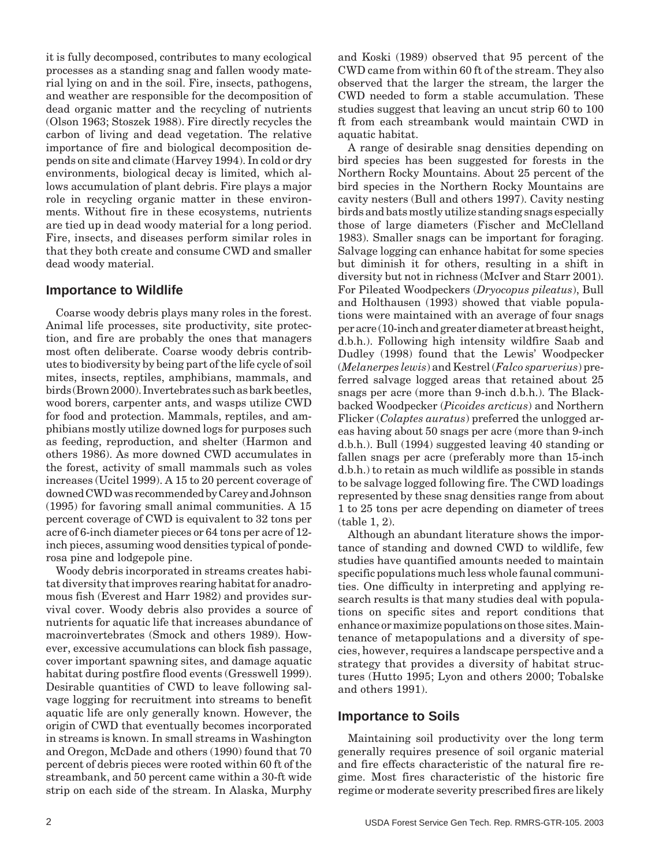it is fully decomposed, contributes to many ecological processes as a standing snag and fallen woody material lying on and in the soil. Fire, insects, pathogens, and weather are responsible for the decomposition of dead organic matter and the recycling of nutrients (Olson 1963; Stoszek 1988). Fire directly recycles the carbon of living and dead vegetation. The relative importance of fire and biological decomposition depends on site and climate (Harvey 1994). In cold or dry environments, biological decay is limited, which allows accumulation of plant debris. Fire plays a major role in recycling organic matter in these environments. Without fire in these ecosystems, nutrients are tied up in dead woody material for a long period. Fire, insects, and diseases perform similar roles in that they both create and consume CWD and smaller dead woody material.

#### **Importance to Wildlife**

Coarse woody debris plays many roles in the forest. Animal life processes, site productivity, site protection, and fire are probably the ones that managers most often deliberate. Coarse woody debris contributes to biodiversity by being part of the life cycle of soil mites, insects, reptiles, amphibians, mammals, and birds (Brown 2000). Invertebrates such as bark beetles, wood borers, carpenter ants, and wasps utilize CWD for food and protection. Mammals, reptiles, and amphibians mostly utilize downed logs for purposes such as feeding, reproduction, and shelter (Harmon and others 1986). As more downed CWD accumulates in the forest, activity of small mammals such as voles increases (Ucitel 1999). A 15 to 20 percent coverage of downed CWD was recommended by Carey and Johnson (1995) for favoring small animal communities. A 15 percent coverage of CWD is equivalent to 32 tons per acre of 6-inch diameter pieces or 64 tons per acre of 12 inch pieces, assuming wood densities typical of ponderosa pine and lodgepole pine.

Woody debris incorporated in streams creates habitat diversity that improves rearing habitat for anadromous fish (Everest and Harr 1982) and provides survival cover. Woody debris also provides a source of nutrients for aquatic life that increases abundance of macroinvertebrates (Smock and others 1989). However, excessive accumulations can block fish passage, cover important spawning sites, and damage aquatic habitat during postfire flood events (Gresswell 1999). Desirable quantities of CWD to leave following salvage logging for recruitment into streams to benefit aquatic life are only generally known. However, the origin of CWD that eventually becomes incorporated in streams is known. In small streams in Washington and Oregon, McDade and others (1990) found that 70 percent of debris pieces were rooted within 60 ft of the streambank, and 50 percent came within a 30-ft wide strip on each side of the stream. In Alaska, Murphy

and Koski (1989) observed that 95 percent of the CWD came from within 60 ft of the stream. They also observed that the larger the stream, the larger the CWD needed to form a stable accumulation. These studies suggest that leaving an uncut strip 60 to 100 ft from each streambank would maintain CWD in aquatic habitat.

A range of desirable snag densities depending on bird species has been suggested for forests in the Northern Rocky Mountains. About 25 percent of the bird species in the Northern Rocky Mountains are cavity nesters (Bull and others 1997). Cavity nesting birds and bats mostly utilize standing snags especially those of large diameters (Fischer and McClelland 1983). Smaller snags can be important for foraging. Salvage logging can enhance habitat for some species but diminish it for others, resulting in a shift in diversity but not in richness (McIver and Starr 2001). For Pileated Woodpeckers (*Dryocopus pileatus*), Bull and Holthausen (1993) showed that viable populations were maintained with an average of four snags per acre (10-inch and greater diameter at breast height, d.b.h.). Following high intensity wildfire Saab and Dudley (1998) found that the Lewis' Woodpecker (*Melanerpes lewis*) and Kestrel (*Falco sparverius*) preferred salvage logged areas that retained about 25 snags per acre (more than 9-inch d.b.h.). The Blackbacked Woodpecker (*Picoides arcticus*) and Northern Flicker (*Colaptes auratus*) preferred the unlogged areas having about 50 snags per acre (more than 9-inch d.b.h.). Bull (1994) suggested leaving 40 standing or fallen snags per acre (preferably more than 15-inch d.b.h.) to retain as much wildlife as possible in stands to be salvage logged following fire. The CWD loadings represented by these snag densities range from about 1 to 25 tons per acre depending on diameter of trees (table 1, 2).

Although an abundant literature shows the importance of standing and downed CWD to wildlife, few studies have quantified amounts needed to maintain specific populations much less whole faunal communities. One difficulty in interpreting and applying research results is that many studies deal with populations on specific sites and report conditions that enhance or maximize populations on those sites. Maintenance of metapopulations and a diversity of species, however, requires a landscape perspective and a strategy that provides a diversity of habitat structures (Hutto 1995; Lyon and others 2000; Tobalske and others 1991).

#### **Importance to Soils**

Maintaining soil productivity over the long term generally requires presence of soil organic material and fire effects characteristic of the natural fire regime. Most fires characteristic of the historic fire regime or moderate severity prescribed fires are likely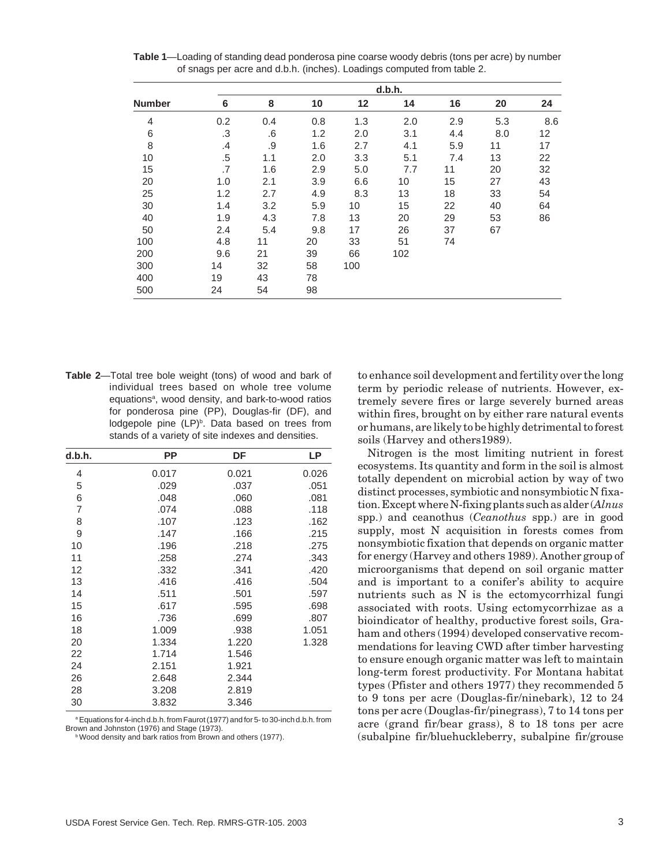|               |        | d.b.h. |     |     |     |     |     |     |  |
|---------------|--------|--------|-----|-----|-----|-----|-----|-----|--|
| <b>Number</b> | 6      | 8      | 10  | 12  | 14  | 16  | 20  | 24  |  |
| 4             | 0.2    | 0.4    | 0.8 | 1.3 | 2.0 | 2.9 | 5.3 | 8.6 |  |
| 6             | .3     | .6     | 1.2 | 2.0 | 3.1 | 4.4 | 8.0 | 12  |  |
| 8             | .4     | .9     | 1.6 | 2.7 | 4.1 | 5.9 | 11  | 17  |  |
| 10            | $.5\,$ | 1.1    | 2.0 | 3.3 | 5.1 | 7.4 | 13  | 22  |  |
| 15            | .7     | 1.6    | 2.9 | 5.0 | 7.7 | 11  | 20  | 32  |  |
| 20            | 1.0    | 2.1    | 3.9 | 6.6 | 10  | 15  | 27  | 43  |  |
| 25            | 1.2    | 2.7    | 4.9 | 8.3 | 13  | 18  | 33  | 54  |  |
| 30            | 1.4    | 3.2    | 5.9 | 10  | 15  | 22  | 40  | 64  |  |
| 40            | 1.9    | 4.3    | 7.8 | 13  | 20  | 29  | 53  | 86  |  |
| 50            | 2.4    | 5.4    | 9.8 | 17  | 26  | 37  | 67  |     |  |
| 100           | 4.8    | 11     | 20  | 33  | 51  | 74  |     |     |  |
| 200           | 9.6    | 21     | 39  | 66  | 102 |     |     |     |  |
| 300           | 14     | 32     | 58  | 100 |     |     |     |     |  |
| 400           | 19     | 43     | 78  |     |     |     |     |     |  |
| 500           | 24     | 54     | 98  |     |     |     |     |     |  |

**Table 1**—Loading of standing dead ponderosa pine coarse woody debris (tons per acre) by number of snags per acre and d.b.h. (inches). Loadings computed from table 2.

**Table 2**—Total tree bole weight (tons) of wood and bark of individual trees based on whole tree volume equations<sup>a</sup>, wood density, and bark-to-wood ratios for ponderosa pine (PP), Douglas-fir (DF), and lodgepole pine  $(LP)^b$ . Data based on trees from stands of a variety of site indexes and densities.

| d.b.h. | РP    | DF    | LP    |
|--------|-------|-------|-------|
| 4      | 0.017 | 0.021 | 0.026 |
| 5      | .029  | .037  | .051  |
| 6      | .048  | .060  | .081  |
| 7      | .074  | .088  | .118  |
| 8      | .107  | .123  | .162  |
| 9      | .147  | .166  | .215  |
| 10     | .196  | .218  | .275  |
| 11     | .258  | .274  | .343  |
| 12     | .332  | .341  | .420  |
| 13     | .416  | .416  | .504  |
| 14     | .511  | .501  | .597  |
| 15     | .617  | .595  | .698  |
| 16     | .736  | .699  | .807  |
| 18     | 1.009 | .938  | 1.051 |
| 20     | 1.334 | 1.220 | 1.328 |
| 22     | 1.714 | 1.546 |       |
| 24     | 2.151 | 1.921 |       |
| 26     | 2.648 | 2.344 |       |
| 28     | 3.208 | 2.819 |       |
| 30     | 3.832 | 3.346 |       |

<sup>a</sup> Equations for 4-inch d.b.h. from Faurot (1977) and for 5- to 30-inch d.b.h. from Brown and Johnston (1976) and Stage (1973).

**b Wood density and bark ratios from Brown and others (1977).** 

to enhance soil development and fertility over the long term by periodic release of nutrients. However, extremely severe fires or large severely burned areas within fires, brought on by either rare natural events or humans, are likely to be highly detrimental to forest soils (Harvey and others1989).

Nitrogen is the most limiting nutrient in forest ecosystems. Its quantity and form in the soil is almost totally dependent on microbial action by way of two distinct processes, symbiotic and nonsymbiotic N fixation. Except where N-fixing plants such as alder (*Alnus* spp.) and ceanothus (*Ceanothus* spp.) are in good supply, most N acquisition in forests comes from nonsymbiotic fixation that depends on organic matter for energy (Harvey and others 1989). Another group of microorganisms that depend on soil organic matter and is important to a conifer's ability to acquire nutrients such as N is the ectomycorrhizal fungi associated with roots. Using ectomycorrhizae as a bioindicator of healthy, productive forest soils, Graham and others (1994) developed conservative recommendations for leaving CWD after timber harvesting to ensure enough organic matter was left to maintain long-term forest productivity. For Montana habitat types (Pfister and others 1977) they recommended 5 to 9 tons per acre (Douglas-fir/ninebark), 12 to 24 tons per acre (Douglas-fir/pinegrass), 7 to 14 tons per acre (grand fir/bear grass), 8 to 18 tons per acre (subalpine fir/bluehuckleberry, subalpine fir/grouse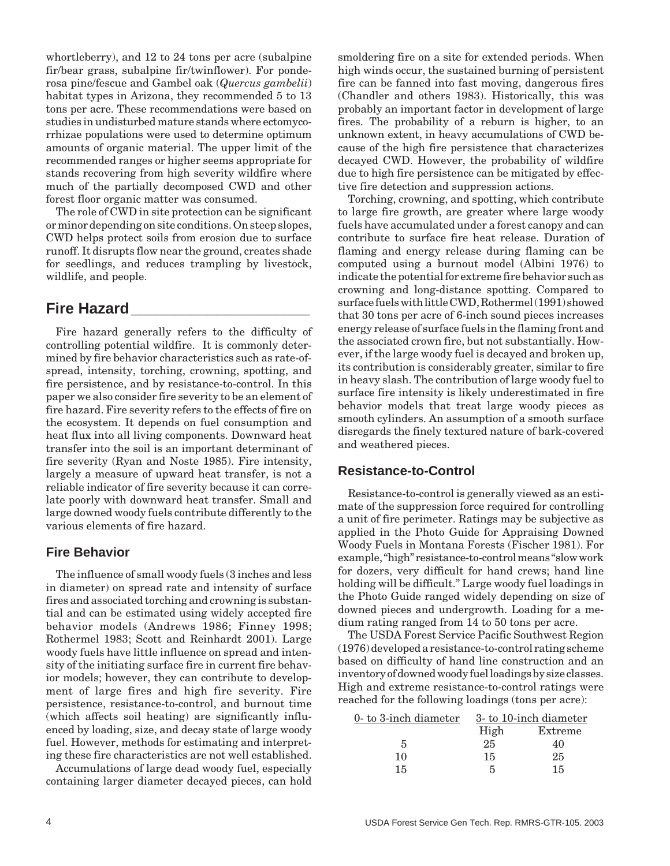whortleberry), and 12 to 24 tons per acre (subalpine fir/bear grass, subalpine fir/twinflower). For ponderosa pine/fescue and Gambel oak (*Quercus gambelii*) habitat types in Arizona, they recommended 5 to 13 tons per acre. These recommendations were based on studies in undisturbed mature stands where ectomycorrhizae populations were used to determine optimum amounts of organic material. The upper limit of the recommended ranges or higher seems appropriate for stands recovering from high severity wildfire where much of the partially decomposed CWD and other forest floor organic matter was consumed.

The role of CWD in site protection can be significant or minor depending on site conditions. On steep slopes, CWD helps protect soils from erosion due to surface runoff. It disrupts flow near the ground, creates shade for seedlings, and reduces trampling by livestock, wildlife, and people.

## **Fire Hazard\_\_\_\_\_\_\_\_\_\_\_\_\_\_\_\_\_\_\_\_\_**

Fire hazard generally refers to the difficulty of controlling potential wildfire. It is commonly determined by fire behavior characteristics such as rate-ofspread, intensity, torching, crowning, spotting, and fire persistence, and by resistance-to-control. In this paper we also consider fire severity to be an element of fire hazard. Fire severity refers to the effects of fire on the ecosystem. It depends on fuel consumption and heat flux into all living components. Downward heat transfer into the soil is an important determinant of fire severity (Ryan and Noste 1985). Fire intensity, largely a measure of upward heat transfer, is not a reliable indicator of fire severity because it can correlate poorly with downward heat transfer. Small and large downed woody fuels contribute differently to the various elements of fire hazard.

#### **Fire Behavior**

The influence of small woody fuels (3 inches and less in diameter) on spread rate and intensity of surface fires and associated torching and crowning is substantial and can be estimated using widely accepted fire behavior models (Andrews 1986; Finney 1998; Rothermel 1983; Scott and Reinhardt 2001). Large woody fuels have little influence on spread and intensity of the initiating surface fire in current fire behavior models; however, they can contribute to development of large fires and high fire severity. Fire persistence, resistance-to-control, and burnout time (which affects soil heating) are significantly influenced by loading, size, and decay state of large woody fuel. However, methods for estimating and interpreting these fire characteristics are not well established.

Accumulations of large dead woody fuel, especially containing larger diameter decayed pieces, can hold

smoldering fire on a site for extended periods. When high winds occur, the sustained burning of persistent fire can be fanned into fast moving, dangerous fires (Chandler and others 1983). Historically, this was probably an important factor in development of large fires. The probability of a reburn is higher, to an unknown extent, in heavy accumulations of CWD because of the high fire persistence that characterizes decayed CWD. However, the probability of wildfire due to high fire persistence can be mitigated by effective fire detection and suppression actions.

Torching, crowning, and spotting, which contribute to large fire growth, are greater where large woody fuels have accumulated under a forest canopy and can contribute to surface fire heat release. Duration of flaming and energy release during flaming can be computed using a burnout model (Albini 1976) to indicate the potential for extreme fire behavior such as crowning and long-distance spotting. Compared to surface fuels with little CWD, Rothermel (1991) showed that 30 tons per acre of 6-inch sound pieces increases energy release of surface fuels in the flaming front and the associated crown fire, but not substantially. However, if the large woody fuel is decayed and broken up, its contribution is considerably greater, similar to fire in heavy slash. The contribution of large woody fuel to surface fire intensity is likely underestimated in fire behavior models that treat large woody pieces as smooth cylinders. An assumption of a smooth surface disregards the finely textured nature of bark-covered and weathered pieces.

#### **Resistance-to-Control**

Resistance-to-control is generally viewed as an estimate of the suppression force required for controlling a unit of fire perimeter. Ratings may be subjective as applied in the Photo Guide for Appraising Downed Woody Fuels in Montana Forests (Fischer 1981). For example, "high" resistance-to-control means "slow work for dozers, very difficult for hand crews; hand line holding will be difficult." Large woody fuel loadings in the Photo Guide ranged widely depending on size of downed pieces and undergrowth. Loading for a medium rating ranged from 14 to 50 tons per acre.

The USDA Forest Service Pacific Southwest Region (1976) developed a resistance-to-control rating scheme based on difficulty of hand line construction and an inventory of downed woody fuel loadings by size classes. High and extreme resistance-to-control ratings were reached for the following loadings (tons per acre):

| $0$ - to 3-inch diameter |      | 3-to 10-inch diameter |
|--------------------------|------|-----------------------|
|                          | High | Extreme               |
| 5                        | 25   | 40                    |
| 10                       | 15   | 25                    |
| 15                       | 5    | 15                    |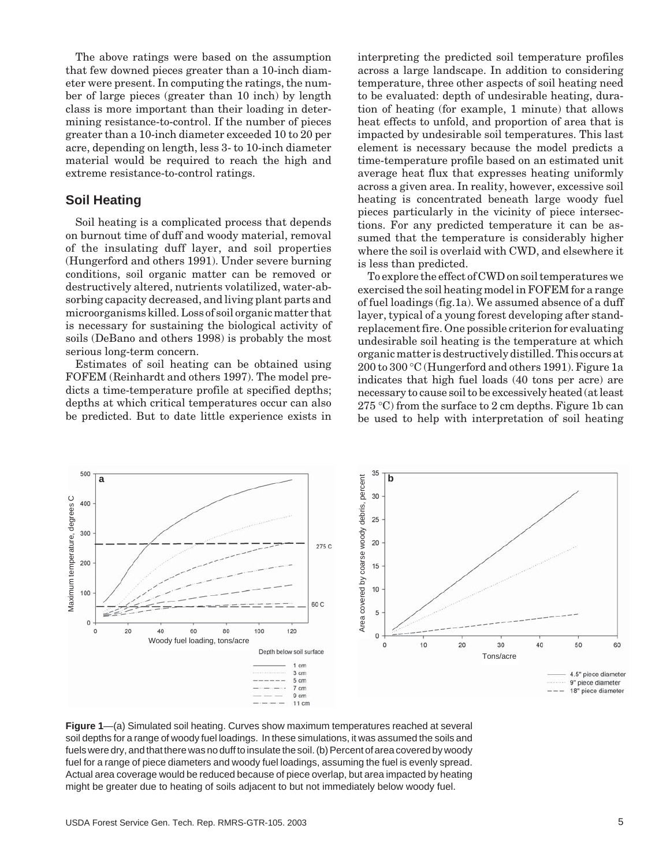The above ratings were based on the assumption that few downed pieces greater than a 10-inch diameter were present. In computing the ratings, the number of large pieces (greater than 10 inch) by length class is more important than their loading in determining resistance-to-control. If the number of pieces greater than a 10-inch diameter exceeded 10 to 20 per acre, depending on length, less 3- to 10-inch diameter material would be required to reach the high and extreme resistance-to-control ratings.

#### **Soil Heating**

Soil heating is a complicated process that depends on burnout time of duff and woody material, removal of the insulating duff layer, and soil properties (Hungerford and others 1991). Under severe burning conditions, soil organic matter can be removed or destructively altered, nutrients volatilized, water-absorbing capacity decreased, and living plant parts and microorganisms killed. Loss of soil organic matter that is necessary for sustaining the biological activity of soils (DeBano and others 1998) is probably the most serious long-term concern.

Estimates of soil heating can be obtained using FOFEM (Reinhardt and others 1997). The model predicts a time-temperature profile at specified depths; depths at which critical temperatures occur can also be predicted. But to date little experience exists in interpreting the predicted soil temperature profiles across a large landscape. In addition to considering temperature, three other aspects of soil heating need to be evaluated: depth of undesirable heating, duration of heating (for example, 1 minute) that allows heat effects to unfold, and proportion of area that is impacted by undesirable soil temperatures. This last element is necessary because the model predicts a time-temperature profile based on an estimated unit average heat flux that expresses heating uniformly across a given area. In reality, however, excessive soil heating is concentrated beneath large woody fuel pieces particularly in the vicinity of piece intersections. For any predicted temperature it can be assumed that the temperature is considerably higher where the soil is overlaid with CWD, and elsewhere it is less than predicted.

To explore the effect of CWD on soil temperatures we exercised the soil heating model in FOFEM for a range of fuel loadings (fig.1a). We assumed absence of a duff layer, typical of a young forest developing after standreplacement fire. One possible criterion for evaluating undesirable soil heating is the temperature at which organic matter is destructively distilled. This occurs at 200 to 300 ∞C (Hungerford and others 1991). Figure 1a indicates that high fuel loads (40 tons per acre) are necessary to cause soil to be excessively heated (at least  $275 \text{ °C}$ ) from the surface to 2 cm depths. Figure 1b can be used to help with interpretation of soil heating



**Figure 1**—(a) Simulated soil heating. Curves show maximum temperatures reached at several soil depths for a range of woody fuel loadings. In these simulations, it was assumed the soils and fuels were dry, and that there was no duff to insulate the soil. (b) Percent of area covered by woody fuel for a range of piece diameters and woody fuel loadings, assuming the fuel is evenly spread. Actual area coverage would be reduced because of piece overlap, but area impacted by heating might be greater due to heating of soils adjacent to but not immediately below woody fuel.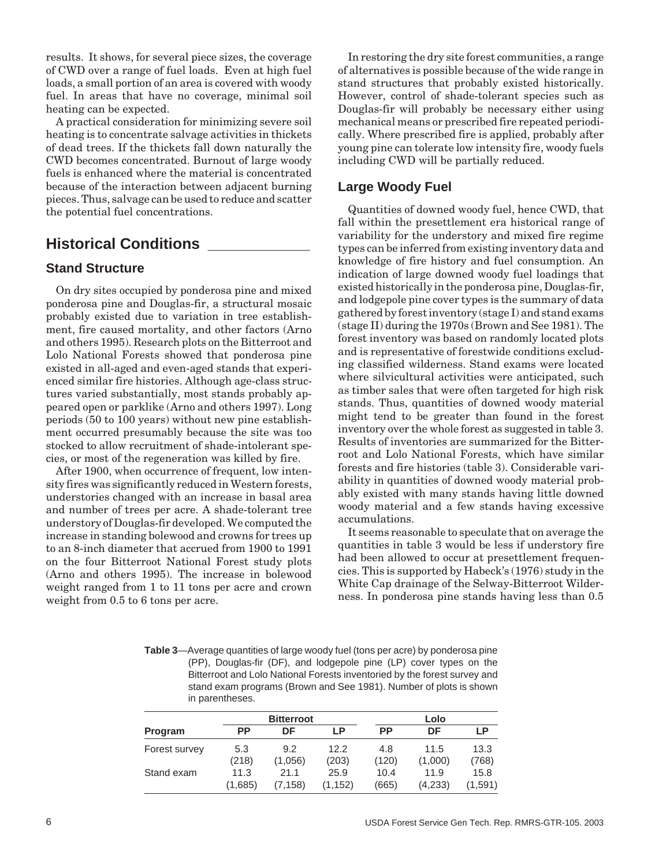results. It shows, for several piece sizes, the coverage of CWD over a range of fuel loads. Even at high fuel loads, a small portion of an area is covered with woody fuel. In areas that have no coverage, minimal soil heating can be expected.

A practical consideration for minimizing severe soil heating is to concentrate salvage activities in thickets of dead trees. If the thickets fall down naturally the CWD becomes concentrated. Burnout of large woody fuels is enhanced where the material is concentrated because of the interaction between adjacent burning pieces. Thus, salvage can be used to reduce and scatter the potential fuel concentrations.

## **Historical Conditions \_\_\_\_\_\_\_\_\_\_\_\_**

#### **Stand Structure**

On dry sites occupied by ponderosa pine and mixed ponderosa pine and Douglas-fir, a structural mosaic probably existed due to variation in tree establishment, fire caused mortality, and other factors (Arno and others 1995). Research plots on the Bitterroot and Lolo National Forests showed that ponderosa pine existed in all-aged and even-aged stands that experienced similar fire histories. Although age-class structures varied substantially, most stands probably appeared open or parklike (Arno and others 1997). Long periods (50 to 100 years) without new pine establishment occurred presumably because the site was too stocked to allow recruitment of shade-intolerant species, or most of the regeneration was killed by fire.

After 1900, when occurrence of frequent, low intensity fires was significantly reduced in Western forests, understories changed with an increase in basal area and number of trees per acre. A shade-tolerant tree understory of Douglas-fir developed. We computed the increase in standing bolewood and crowns for trees up to an 8-inch diameter that accrued from 1900 to 1991 on the four Bitterroot National Forest study plots (Arno and others 1995). The increase in bolewood weight ranged from 1 to 11 tons per acre and crown weight from 0.5 to 6 tons per acre.

In restoring the dry site forest communities, a range of alternatives is possible because of the wide range in stand structures that probably existed historically. However, control of shade-tolerant species such as Douglas-fir will probably be necessary either using mechanical means or prescribed fire repeated periodically. Where prescribed fire is applied, probably after young pine can tolerate low intensity fire, woody fuels including CWD will be partially reduced.

#### **Large Woody Fuel**

Quantities of downed woody fuel, hence CWD, that fall within the presettlement era historical range of variability for the understory and mixed fire regime types can be inferred from existing inventory data and knowledge of fire history and fuel consumption. An indication of large downed woody fuel loadings that existed historically in the ponderosa pine, Douglas-fir, and lodgepole pine cover types is the summary of data gathered by forest inventory (stage I) and stand exams (stage II) during the 1970s (Brown and See 1981). The forest inventory was based on randomly located plots and is representative of forestwide conditions excluding classified wilderness. Stand exams were located where silvicultural activities were anticipated, such as timber sales that were often targeted for high risk stands. Thus, quantities of downed woody material might tend to be greater than found in the forest inventory over the whole forest as suggested in table 3. Results of inventories are summarized for the Bitterroot and Lolo National Forests, which have similar forests and fire histories (table 3). Considerable variability in quantities of downed woody material probably existed with many stands having little downed woody material and a few stands having excessive accumulations.

It seems reasonable to speculate that on average the quantities in table 3 would be less if understory fire had been allowed to occur at presettlement frequencies. This is supported by Habeck's (1976) study in the White Cap drainage of the Selway-Bitterroot Wilderness. In ponderosa pine stands having less than 0.5

**Table 3**—Average quantities of large woody fuel (tons per acre) by ponderosa pine (PP), Douglas-fir (DF), and lodgepole pine (LP) cover types on the Bitterroot and Lolo National Forests inventoried by the forest survey and stand exam programs (Brown and See 1981). Number of plots is shown in parentheses.

|               |         | <b>Bitterroot</b> |         | Lolo      |         |         |  |
|---------------|---------|-------------------|---------|-----------|---------|---------|--|
| Program       | РP      | DF                | ΙP      | <b>PP</b> | DF      | LP      |  |
| Forest survey | 5.3     | 9.2               | 12.2    | 4.8       | 11.5    | 13.3    |  |
|               | (218)   | (1,056)           | (203)   | (120)     | (1,000) | (768)   |  |
| Stand exam    | 11.3    | 21.1              | 25.9    | 10.4      | 11.9    | 15.8    |  |
|               | (1.685) | (7.158)           | (1.152) | (665)     | (4,233) | (1.591) |  |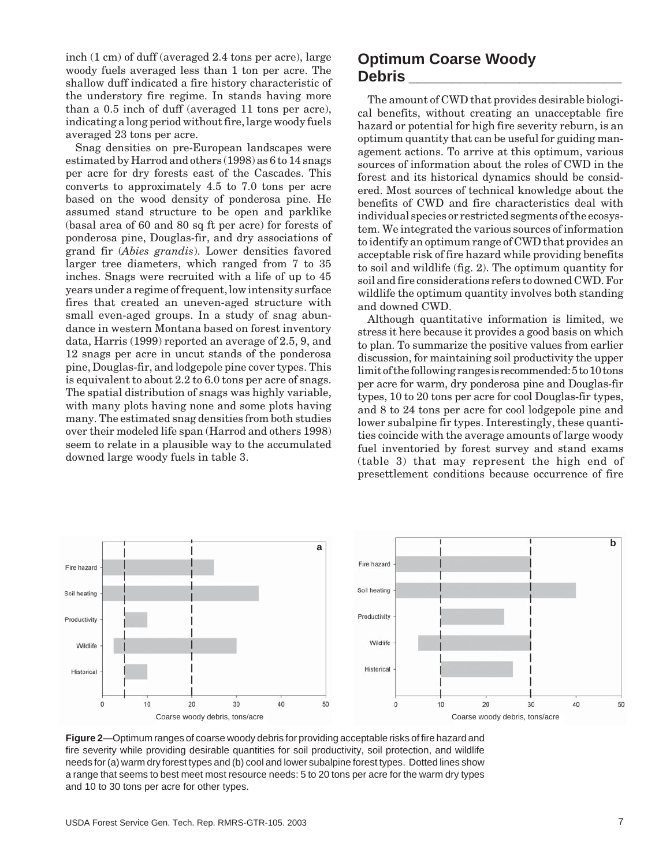inch (1 cm) of duff (averaged 2.4 tons per acre), large woody fuels averaged less than 1 ton per acre. The shallow duff indicated a fire history characteristic of the understory fire regime. In stands having more than a 0.5 inch of duff (averaged 11 tons per acre), indicating a long period without fire, large woody fuels averaged 23 tons per acre.

Snag densities on pre-European landscapes were estimated by Harrod and others (1998) as 6 to 14 snags per acre for dry forests east of the Cascades. This converts to approximately 4.5 to 7.0 tons per acre based on the wood density of ponderosa pine. He assumed stand structure to be open and parklike (basal area of 60 and 80 sq ft per acre) for forests of ponderosa pine, Douglas-fir, and dry associations of grand fir (*Abies grandis*). Lower densities favored larger tree diameters, which ranged from 7 to 35 inches. Snags were recruited with a life of up to 45 years under a regime of frequent, low intensity surface fires that created an uneven-aged structure with small even-aged groups. In a study of snag abundance in western Montana based on forest inventory data, Harris (1999) reported an average of 2.5, 9, and 12 snags per acre in uncut stands of the ponderosa pine, Douglas-fir, and lodgepole pine cover types. This is equivalent to about 2.2 to 6.0 tons per acre of snags. The spatial distribution of snags was highly variable, with many plots having none and some plots having many. The estimated snag densities from both studies over their modeled life span (Harrod and others 1998) seem to relate in a plausible way to the accumulated downed large woody fuels in table 3.

## **Optimum Coarse Woody Debris \_\_\_\_\_\_\_\_\_\_\_\_\_\_\_\_\_\_\_\_\_\_\_\_\_**

The amount of CWD that provides desirable biological benefits, without creating an unacceptable fire hazard or potential for high fire severity reburn, is an optimum quantity that can be useful for guiding management actions. To arrive at this optimum, various sources of information about the roles of CWD in the forest and its historical dynamics should be considered. Most sources of technical knowledge about the benefits of CWD and fire characteristics deal with individual species or restricted segments of the ecosystem. We integrated the various sources of information to identify an optimum range of CWD that provides an acceptable risk of fire hazard while providing benefits to soil and wildlife (fig. 2). The optimum quantity for soil and fire considerations refers to downed CWD. For wildlife the optimum quantity involves both standing and downed CWD.

Although quantitative information is limited, we stress it here because it provides a good basis on which to plan. To summarize the positive values from earlier discussion, for maintaining soil productivity the upper limit of the following ranges is recommended: 5 to 10 tons per acre for warm, dry ponderosa pine and Douglas-fir types, 10 to 20 tons per acre for cool Douglas-fir types, and 8 to 24 tons per acre for cool lodgepole pine and lower subalpine fir types. Interestingly, these quantities coincide with the average amounts of large woody fuel inventoried by forest survey and stand exams (table 3) that may represent the high end of presettlement conditions because occurrence of fire



**Figure 2**—Optimum ranges of coarse woody debris for providing acceptable risks of fire hazard and fire severity while providing desirable quantities for soil productivity, soil protection, and wildlife needs for (a) warm dry forest types and (b) cool and lower subalpine forest types. Dotted lines show a range that seems to best meet most resource needs: 5 to 20 tons per acre for the warm dry types and 10 to 30 tons per acre for other types.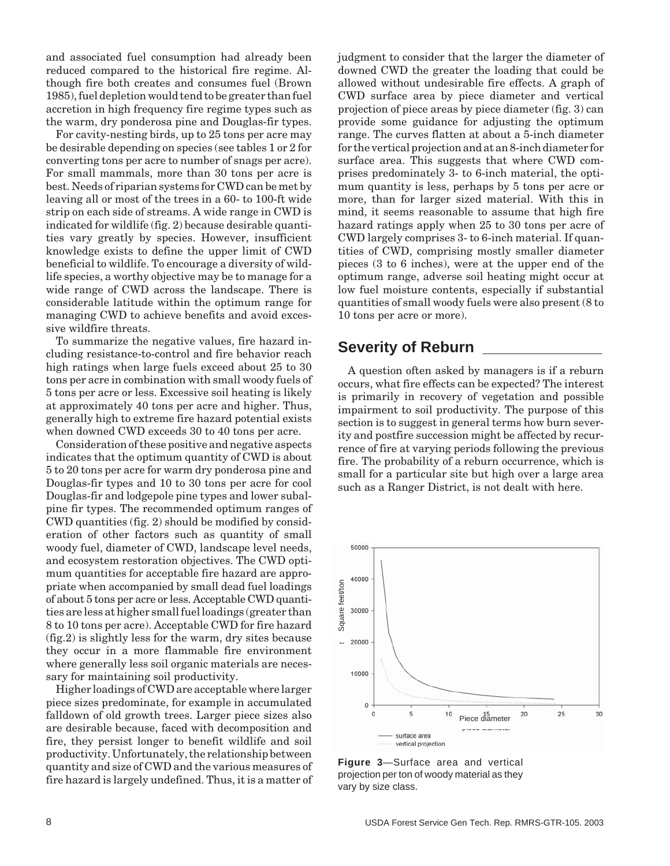and associated fuel consumption had already been reduced compared to the historical fire regime. Although fire both creates and consumes fuel (Brown 1985), fuel depletion would tend to be greater than fuel accretion in high frequency fire regime types such as the warm, dry ponderosa pine and Douglas-fir types.

For cavity-nesting birds, up to 25 tons per acre may be desirable depending on species (see tables 1 or 2 for converting tons per acre to number of snags per acre). For small mammals, more than 30 tons per acre is best. Needs of riparian systems for CWD can be met by leaving all or most of the trees in a 60- to 100-ft wide strip on each side of streams. A wide range in CWD is indicated for wildlife (fig. 2) because desirable quantities vary greatly by species. However, insufficient knowledge exists to define the upper limit of CWD beneficial to wildlife. To encourage a diversity of wildlife species, a worthy objective may be to manage for a wide range of CWD across the landscape. There is considerable latitude within the optimum range for managing CWD to achieve benefits and avoid excessive wildfire threats.

To summarize the negative values, fire hazard including resistance-to-control and fire behavior reach high ratings when large fuels exceed about 25 to 30 tons per acre in combination with small woody fuels of 5 tons per acre or less. Excessive soil heating is likely at approximately 40 tons per acre and higher. Thus, generally high to extreme fire hazard potential exists when downed CWD exceeds 30 to 40 tons per acre.

Consideration of these positive and negative aspects indicates that the optimum quantity of CWD is about 5 to 20 tons per acre for warm dry ponderosa pine and Douglas-fir types and 10 to 30 tons per acre for cool Douglas-fir and lodgepole pine types and lower subalpine fir types. The recommended optimum ranges of CWD quantities (fig. 2) should be modified by consideration of other factors such as quantity of small woody fuel, diameter of CWD, landscape level needs, and ecosystem restoration objectives. The CWD optimum quantities for acceptable fire hazard are appropriate when accompanied by small dead fuel loadings of about 5 tons per acre or less. Acceptable CWD quantities are less at higher small fuel loadings (greater than 8 to 10 tons per acre). Acceptable CWD for fire hazard (fig.2) is slightly less for the warm, dry sites because they occur in a more flammable fire environment where generally less soil organic materials are necessary for maintaining soil productivity.

Higher loadings of CWD are acceptable where larger piece sizes predominate, for example in accumulated falldown of old growth trees. Larger piece sizes also are desirable because, faced with decomposition and fire, they persist longer to benefit wildlife and soil productivity. Unfortunately, the relationship between quantity and size of CWD and the various measures of fire hazard is largely undefined. Thus, it is a matter of judgment to consider that the larger the diameter of downed CWD the greater the loading that could be allowed without undesirable fire effects. A graph of CWD surface area by piece diameter and vertical projection of piece areas by piece diameter (fig. 3) can provide some guidance for adjusting the optimum range. The curves flatten at about a 5-inch diameter for the vertical projection and at an 8-inch diameter for surface area. This suggests that where CWD comprises predominately 3- to 6-inch material, the optimum quantity is less, perhaps by 5 tons per acre or more, than for larger sized material. With this in mind, it seems reasonable to assume that high fire hazard ratings apply when 25 to 30 tons per acre of CWD largely comprises 3- to 6-inch material. If quantities of CWD, comprising mostly smaller diameter pieces (3 to 6 inches), were at the upper end of the optimum range, adverse soil heating might occur at low fuel moisture contents, especially if substantial quantities of small woody fuels were also present (8 to 10 tons per acre or more).

## **Severity of Reburn**

A question often asked by managers is if a reburn occurs, what fire effects can be expected? The interest is primarily in recovery of vegetation and possible impairment to soil productivity. The purpose of this section is to suggest in general terms how burn severity and postfire succession might be affected by recurrence of fire at varying periods following the previous fire. The probability of a reburn occurrence, which is small for a particular site but high over a large area such as a Ranger District, is not dealt with here.



**Figure 3**—Surface area and vertical projection per ton of woody material as they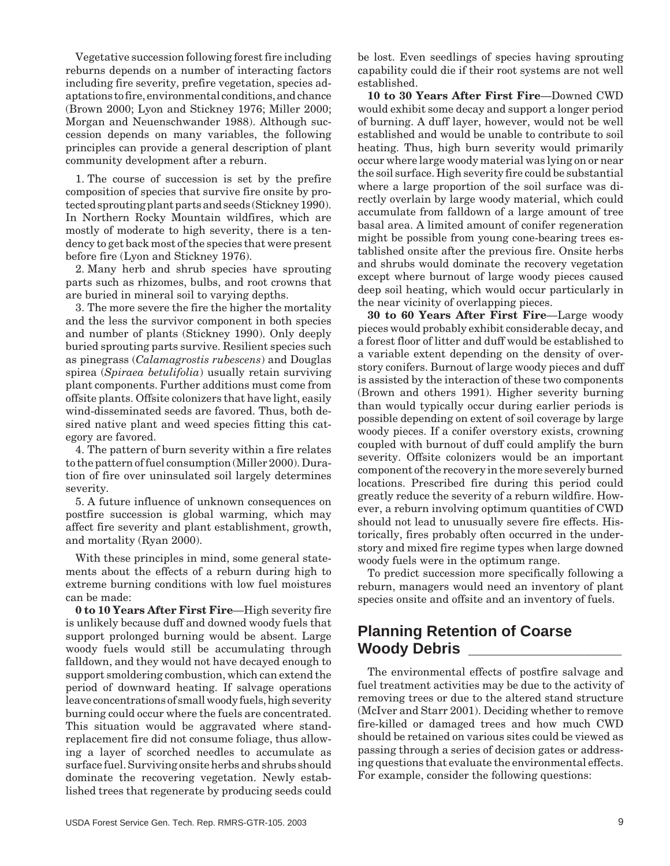Vegetative succession following forest fire including reburns depends on a number of interacting factors including fire severity, prefire vegetation, species adaptations to fire, environmental conditions, and chance (Brown 2000; Lyon and Stickney 1976; Miller 2000; Morgan and Neuenschwander 1988). Although succession depends on many variables, the following principles can provide a general description of plant community development after a reburn.

1. The course of succession is set by the prefire composition of species that survive fire onsite by protected sprouting plant parts and seeds (Stickney 1990). In Northern Rocky Mountain wildfires, which are mostly of moderate to high severity, there is a tendency to get back most of the species that were present before fire (Lyon and Stickney 1976).

2. Many herb and shrub species have sprouting parts such as rhizomes, bulbs, and root crowns that are buried in mineral soil to varying depths.

3. The more severe the fire the higher the mortality and the less the survivor component in both species and number of plants (Stickney 1990). Only deeply buried sprouting parts survive. Resilient species such as pinegrass (*Calamagrostis rubescens*) and Douglas spirea (*Spiraea betulifolia*) usually retain surviving plant components. Further additions must come from offsite plants. Offsite colonizers that have light, easily wind-disseminated seeds are favored. Thus, both desired native plant and weed species fitting this category are favored.

4. The pattern of burn severity within a fire relates to the pattern of fuel consumption (Miller 2000). Duration of fire over uninsulated soil largely determines severity.

5. A future influence of unknown consequences on postfire succession is global warming, which may affect fire severity and plant establishment, growth, and mortality (Ryan 2000).

With these principles in mind, some general statements about the effects of a reburn during high to extreme burning conditions with low fuel moistures can be made:

**0 to 10 Years After First Fire**—High severity fire is unlikely because duff and downed woody fuels that support prolonged burning would be absent. Large woody fuels would still be accumulating through falldown, and they would not have decayed enough to support smoldering combustion, which can extend the period of downward heating. If salvage operations leave concentrations of small woody fuels, high severity burning could occur where the fuels are concentrated. This situation would be aggravated where standreplacement fire did not consume foliage, thus allowing a layer of scorched needles to accumulate as surface fuel. Surviving onsite herbs and shrubs should dominate the recovering vegetation. Newly established trees that regenerate by producing seeds could be lost. Even seedlings of species having sprouting capability could die if their root systems are not well established.

**10 to 30 Years After First Fire**—Downed CWD would exhibit some decay and support a longer period of burning. A duff layer, however, would not be well established and would be unable to contribute to soil heating. Thus, high burn severity would primarily occur where large woody material was lying on or near the soil surface. High severity fire could be substantial where a large proportion of the soil surface was directly overlain by large woody material, which could accumulate from falldown of a large amount of tree basal area. A limited amount of conifer regeneration might be possible from young cone-bearing trees established onsite after the previous fire. Onsite herbs and shrubs would dominate the recovery vegetation except where burnout of large woody pieces caused deep soil heating, which would occur particularly in the near vicinity of overlapping pieces.

**30 to 60 Years After First Fire**—Large woody pieces would probably exhibit considerable decay, and a forest floor of litter and duff would be established to a variable extent depending on the density of overstory conifers. Burnout of large woody pieces and duff is assisted by the interaction of these two components (Brown and others 1991). Higher severity burning than would typically occur during earlier periods is possible depending on extent of soil coverage by large woody pieces. If a conifer overstory exists, crowning coupled with burnout of duff could amplify the burn severity. Offsite colonizers would be an important component of the recovery in the more severely burned locations. Prescribed fire during this period could greatly reduce the severity of a reburn wildfire. However, a reburn involving optimum quantities of CWD should not lead to unusually severe fire effects. Historically, fires probably often occurred in the understory and mixed fire regime types when large downed woody fuels were in the optimum range.

To predict succession more specifically following a reburn, managers would need an inventory of plant species onsite and offsite and an inventory of fuels.

## **Planning Retention of Coarse Woody Debris \_\_\_\_\_\_\_\_\_\_\_\_\_\_\_\_\_\_**

The environmental effects of postfire salvage and fuel treatment activities may be due to the activity of removing trees or due to the altered stand structure (McIver and Starr 2001). Deciding whether to remove fire-killed or damaged trees and how much CWD should be retained on various sites could be viewed as passing through a series of decision gates or addressing questions that evaluate the environmental effects. For example, consider the following questions: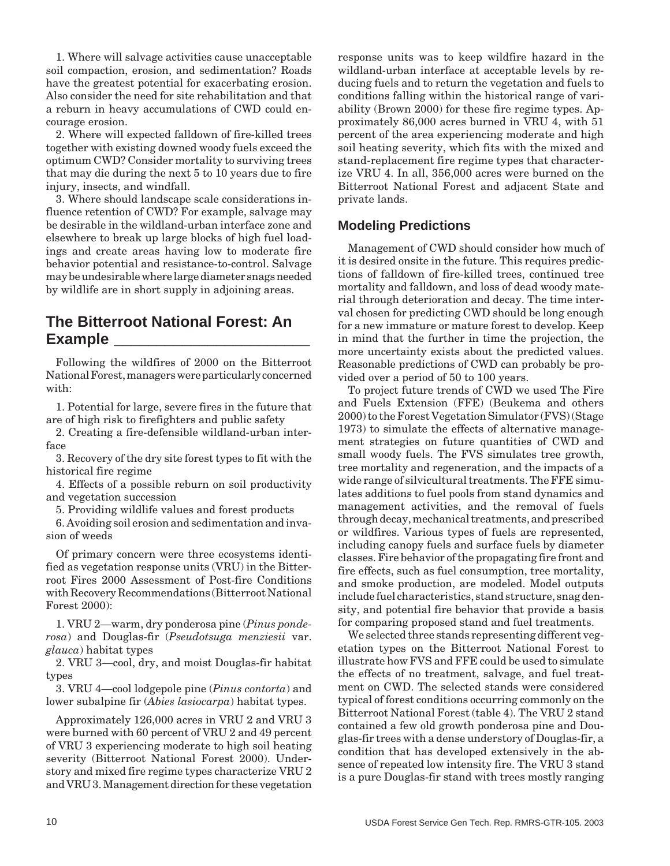1. Where will salvage activities cause unacceptable soil compaction, erosion, and sedimentation? Roads have the greatest potential for exacerbating erosion. Also consider the need for site rehabilitation and that a reburn in heavy accumulations of CWD could encourage erosion.

2. Where will expected falldown of fire-killed trees together with existing downed woody fuels exceed the optimum CWD? Consider mortality to surviving trees that may die during the next 5 to 10 years due to fire injury, insects, and windfall.

3. Where should landscape scale considerations influence retention of CWD? For example, salvage may be desirable in the wildland-urban interface zone and elsewhere to break up large blocks of high fuel loadings and create areas having low to moderate fire behavior potential and resistance-to-control. Salvage may be undesirable where large diameter snags needed by wildlife are in short supply in adjoining areas.

## **The Bitterroot National Forest: An Example \_\_\_\_\_\_\_\_\_\_\_\_\_\_\_\_\_\_\_\_\_\_\_**

Following the wildfires of 2000 on the Bitterroot National Forest, managers were particularly concerned with:

1. Potential for large, severe fires in the future that are of high risk to firefighters and public safety

2. Creating a fire-defensible wildland-urban interface

3. Recovery of the dry site forest types to fit with the historical fire regime

4. Effects of a possible reburn on soil productivity and vegetation succession

5. Providing wildlife values and forest products

6. Avoiding soil erosion and sedimentation and invasion of weeds

Of primary concern were three ecosystems identified as vegetation response units (VRU) in the Bitterroot Fires 2000 Assessment of Post-fire Conditions with Recovery Recommendations (Bitterroot National Forest 2000):

1. VRU 2—warm, dry ponderosa pine (*Pinus ponderosa*) and Douglas-fir (*Pseudotsuga menziesii* var. *glauca*) habitat types

2. VRU 3—cool, dry, and moist Douglas-fir habitat types

3. VRU 4—cool lodgepole pine (*Pinus contorta*) and lower subalpine fir (*Abies lasiocarpa*) habitat types.

Approximately 126,000 acres in VRU 2 and VRU 3 were burned with 60 percent of VRU 2 and 49 percent of VRU 3 experiencing moderate to high soil heating severity (Bitterroot National Forest 2000). Understory and mixed fire regime types characterize VRU 2 and VRU 3. Management direction for these vegetation response units was to keep wildfire hazard in the wildland-urban interface at acceptable levels by reducing fuels and to return the vegetation and fuels to conditions falling within the historical range of variability (Brown 2000) for these fire regime types. Approximately 86,000 acres burned in VRU 4, with 51 percent of the area experiencing moderate and high soil heating severity, which fits with the mixed and stand-replacement fire regime types that characterize VRU 4. In all, 356,000 acres were burned on the Bitterroot National Forest and adjacent State and private lands.

#### **Modeling Predictions**

Management of CWD should consider how much of it is desired onsite in the future. This requires predictions of falldown of fire-killed trees, continued tree mortality and falldown, and loss of dead woody material through deterioration and decay. The time interval chosen for predicting CWD should be long enough for a new immature or mature forest to develop. Keep in mind that the further in time the projection, the more uncertainty exists about the predicted values. Reasonable predictions of CWD can probably be provided over a period of 50 to 100 years.

To project future trends of CWD we used The Fire and Fuels Extension (FFE) (Beukema and others 2000) to the Forest Vegetation Simulator (FVS) (Stage 1973) to simulate the effects of alternative management strategies on future quantities of CWD and small woody fuels. The FVS simulates tree growth, tree mortality and regeneration, and the impacts of a wide range of silvicultural treatments. The FFE simulates additions to fuel pools from stand dynamics and management activities, and the removal of fuels through decay, mechanical treatments, and prescribed or wildfires. Various types of fuels are represented, including canopy fuels and surface fuels by diameter classes. Fire behavior of the propagating fire front and fire effects, such as fuel consumption, tree mortality, and smoke production, are modeled. Model outputs include fuel characteristics, stand structure, snag density, and potential fire behavior that provide a basis for comparing proposed stand and fuel treatments.

We selected three stands representing different vegetation types on the Bitterroot National Forest to illustrate how FVS and FFE could be used to simulate the effects of no treatment, salvage, and fuel treatment on CWD. The selected stands were considered typical of forest conditions occurring commonly on the Bitterroot National Forest (table 4). The VRU 2 stand contained a few old growth ponderosa pine and Douglas-fir trees with a dense understory of Douglas-fir, a condition that has developed extensively in the absence of repeated low intensity fire. The VRU 3 stand is a pure Douglas-fir stand with trees mostly ranging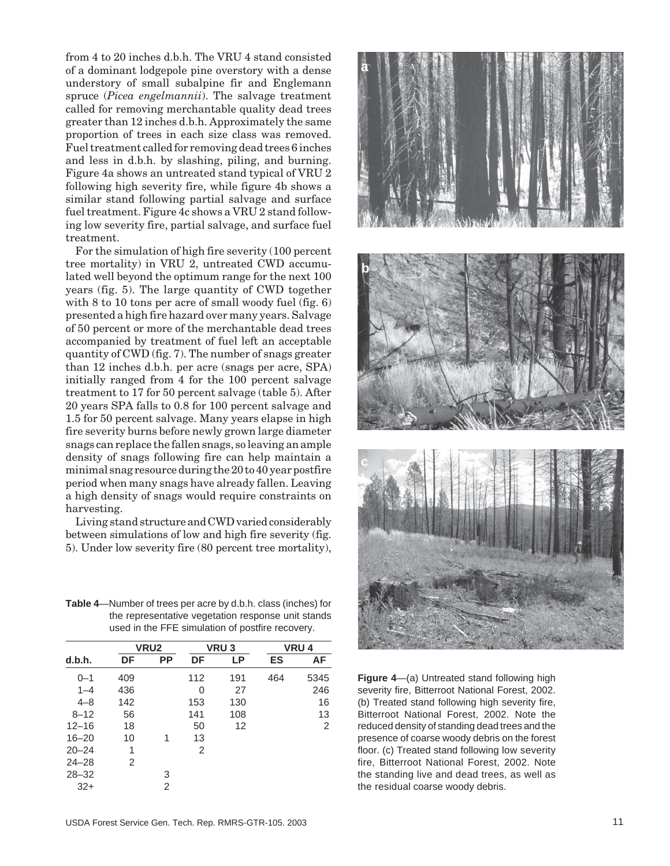from 4 to 20 inches d.b.h. The VRU 4 stand consisted of a dominant lodgepole pine overstory with a dense understory of small subalpine fir and Englemann spruce (*Picea engelmannii*). The salvage treatment called for removing merchantable quality dead trees greater than 12 inches d.b.h. Approximately the same proportion of trees in each size class was removed. Fuel treatment called for removing dead trees 6 inches and less in d.b.h. by slashing, piling, and burning. Figure 4a shows an untreated stand typical of VRU 2 following high severity fire, while figure 4b shows a similar stand following partial salvage and surface fuel treatment. Figure 4c shows a VRU 2 stand following low severity fire, partial salvage, and surface fuel treatment.

For the simulation of high fire severity (100 percent tree mortality) in VRU 2, untreated CWD accumulated well beyond the optimum range for the next 100 years (fig. 5). The large quantity of CWD together with 8 to 10 tons per acre of small woody fuel (fig. 6) presented a high fire hazard over many years. Salvage of 50 percent or more of the merchantable dead trees accompanied by treatment of fuel left an acceptable quantity of CWD (fig. 7). The number of snags greater than 12 inches d.b.h. per acre (snags per acre, SPA) initially ranged from 4 for the 100 percent salvage treatment to 17 for 50 percent salvage (table 5). After 20 years SPA falls to 0.8 for 100 percent salvage and 1.5 for 50 percent salvage. Many years elapse in high fire severity burns before newly grown large diameter snags can replace the fallen snags, so leaving an ample density of snags following fire can help maintain a minimal snag resource during the 20 to 40 year postfire period when many snags have already fallen. Leaving a high density of snags would require constraints on harvesting.

Living stand structure and CWD varied considerably between simulations of low and high fire severity (fig. 5). Under low severity fire (80 percent tree mortality),

**Table 4**—Number of trees per acre by d.b.h. class (inches) for the representative vegetation response unit stands used in the FFE simulation of postfire recovery.

|           |     | VRU <sub>2</sub> |           | VRU <sub>3</sub> |     | <b>VRU4</b> |  |
|-----------|-----|------------------|-----------|------------------|-----|-------------|--|
| d.b.h.    | DF  | <b>PP</b>        | <b>DF</b> | LP               | ES  | AF          |  |
| $0 - 1$   | 409 |                  | 112       | 191              | 464 | 5345        |  |
| $1 - 4$   | 436 |                  | 0         | 27               |     | 246         |  |
| $4 - 8$   | 142 |                  | 153       | 130              |     | 16          |  |
| $8 - 12$  | 56  |                  | 141       | 108              |     | 13          |  |
| $12 - 16$ | 18  |                  | 50        | 12               |     | 2           |  |
| $16 - 20$ | 10  | 1                | 13        |                  |     |             |  |
| $20 - 24$ | 1   |                  | 2         |                  |     |             |  |
| $24 - 28$ | 2   |                  |           |                  |     |             |  |
| $28 - 32$ |     | 3                |           |                  |     |             |  |
| $32+$     |     | 2                |           |                  |     |             |  |



**Figure 4**—(a) Untreated stand following high severity fire, Bitterroot National Forest, 2002. (b) Treated stand following high severity fire, Bitterroot National Forest, 2002. Note the reduced density of standing dead trees and the presence of coarse woody debris on the forest floor. (c) Treated stand following low severity fire, Bitterroot National Forest, 2002. Note the standing live and dead trees, as well as the residual coarse woody debris.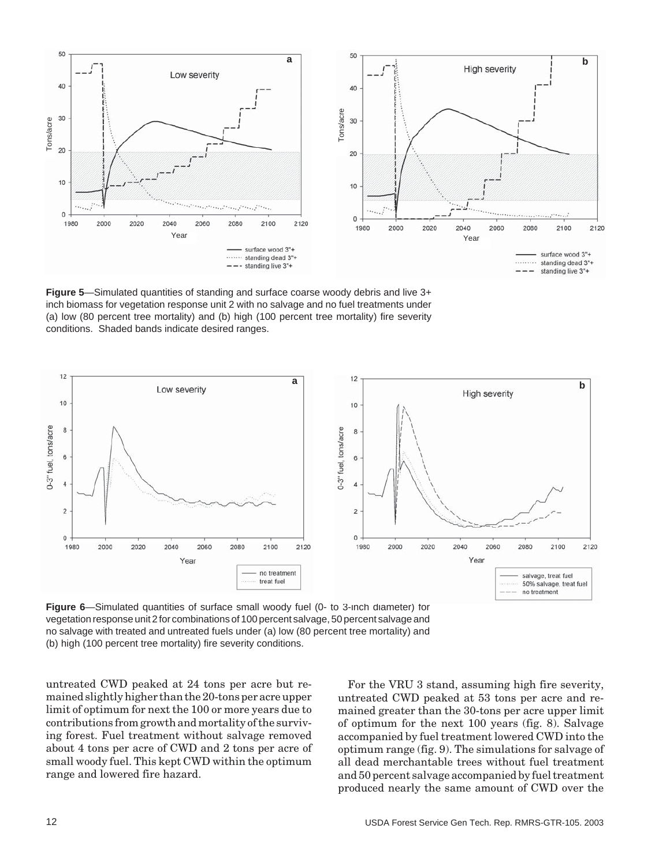

**Figure 5**—Simulated quantities of standing and surface coarse woody debris and live 3+ inch biomass for vegetation response unit 2 with no salvage and no fuel treatments under (a) low (80 percent tree mortality) and (b) high (100 percent tree mortality) fire severity conditions. Shaded bands indicate desired ranges.



**Figure 6**—Simulated quantities of surface small woody fuel (0- to 3-inch diameter) for vegetation response unit 2 for combinations of 100 percent salvage, 50 percent salvage and no salvage with treated and untreated fuels under (a) low (80 percent tree mortality) and (b) high (100 percent tree mortality) fire severity conditions.

untreated CWD peaked at 24 tons per acre but remained slightly higher than the 20-tons per acre upper limit of optimum for next the 100 or more years due to contributions from growth and mortality of the surviving forest. Fuel treatment without salvage removed about 4 tons per acre of CWD and 2 tons per acre of small woody fuel. This kept CWD within the optimum range and lowered fire hazard.

For the VRU 3 stand, assuming high fire severity, untreated CWD peaked at 53 tons per acre and remained greater than the 30-tons per acre upper limit of optimum for the next 100 years (fig. 8). Salvage accompanied by fuel treatment lowered CWD into the optimum range (fig. 9). The simulations for salvage of all dead merchantable trees without fuel treatment and 50 percent salvage accompanied by fuel treatment produced nearly the same amount of CWD over the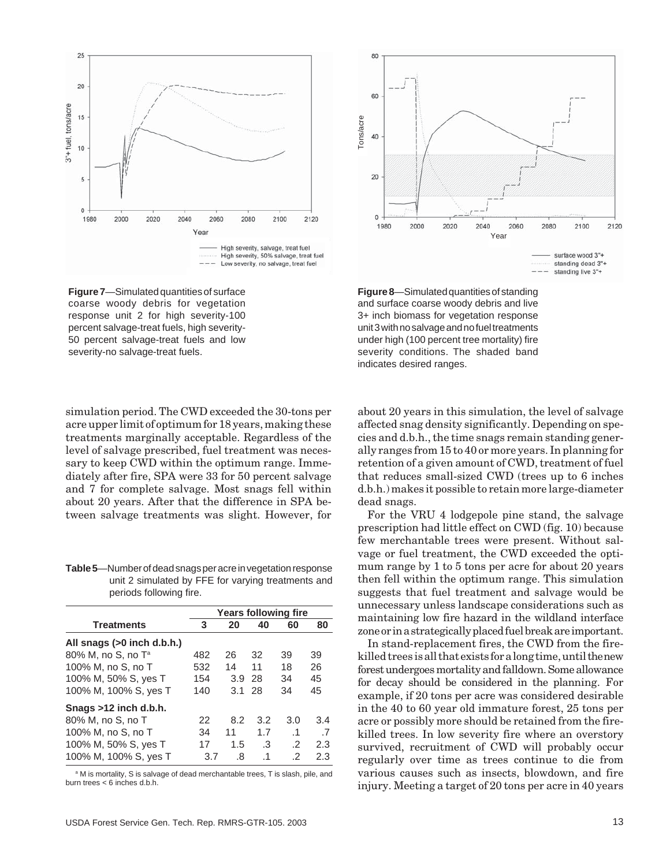

**Figure 7**—Simulated quantities of surface coarse woody debris for vegetation response unit 2 for high severity-100 percent salvage-treat fuels, high severity-50 percent salvage-treat fuels and low severity-no salvage-treat fuels.

simulation period. The CWD exceeded the 30-tons per acre upper limit of optimum for 18 years, making these treatments marginally acceptable. Regardless of the level of salvage prescribed, fuel treatment was necessary to keep CWD within the optimum range. Immediately after fire, SPA were 33 for 50 percent salvage and 7 for complete salvage. Most snags fell within about 20 years. After that the difference in SPA between salvage treatments was slight. However, for

**Table 5**—Number of dead snags per acre in vegetation response unit 2 simulated by FFE for varying treatments and periods following fire.

|                                | Years following fire |     |           |            |     |
|--------------------------------|----------------------|-----|-----------|------------|-----|
| <b>Treatments</b>              | 3                    | 20  | 40        | 60         | 80  |
| All snags (>0 inch d.b.h.)     |                      |     |           |            |     |
| 80% M, no S, no T <sup>a</sup> | 482                  | 26  | 32        | 39         | 39  |
| 100% M, no S, no T             | 532                  | 14  | 11        | 18         | 26  |
| 100% M, 50% S, yes T           | 154                  | 3.9 | 28        | 34         | 45  |
| 100% M, 100% S, yes T          | 140                  | 3.1 | 28        | 34         | 45  |
| Snags >12 inch d.b.h.          |                      |     |           |            |     |
| 80% M, no S, no T              | 22                   | 8.2 | 3.2       | 3.0        | 3.4 |
| 100% M, no S, no T             | 34                   | 11  | 1.7       | $\cdot$ 1  | .7  |
| 100% M, 50% S, yes T           | 17                   | 1.5 | .3        | $\cdot$ .2 | 2.3 |
| 100% M, 100% S, yes T          | 3.7                  | .8  | $\cdot$ 1 | .2         | 2.3 |

<sup>a</sup> M is mortality, S is salvage of dead merchantable trees, T is slash, pile, and burn trees < 6 inches d.b.h.



**Figure 8**—Simulated quantities of standing and surface coarse woody debris and live 3+ inch biomass for vegetation response unit 3 with no salvage and no fuel treatments under high (100 percent tree mortality) fire severity conditions. The shaded band indicates desired ranges.

about 20 years in this simulation, the level of salvage affected snag density significantly. Depending on species and d.b.h., the time snags remain standing generally ranges from 15 to 40 or more years. In planning for retention of a given amount of CWD, treatment of fuel that reduces small-sized CWD (trees up to 6 inches d.b.h.) makes it possible to retain more large-diameter dead snags.

For the VRU 4 lodgepole pine stand, the salvage prescription had little effect on CWD (fig. 10) because few merchantable trees were present. Without salvage or fuel treatment, the CWD exceeded the optimum range by 1 to 5 tons per acre for about 20 years then fell within the optimum range. This simulation suggests that fuel treatment and salvage would be unnecessary unless landscape considerations such as maintaining low fire hazard in the wildland interface zone or in a strategically placed fuel break are important.

In stand-replacement fires, the CWD from the firekilled trees is all that exists for a long time, until the new forest undergoes mortality and falldown. Some allowance for decay should be considered in the planning. For example, if 20 tons per acre was considered desirable in the 40 to 60 year old immature forest, 25 tons per acre or possibly more should be retained from the firekilled trees. In low severity fire where an overstory survived, recruitment of CWD will probably occur regularly over time as trees continue to die from various causes such as insects, blowdown, and fire injury. Meeting a target of 20 tons per acre in 40 years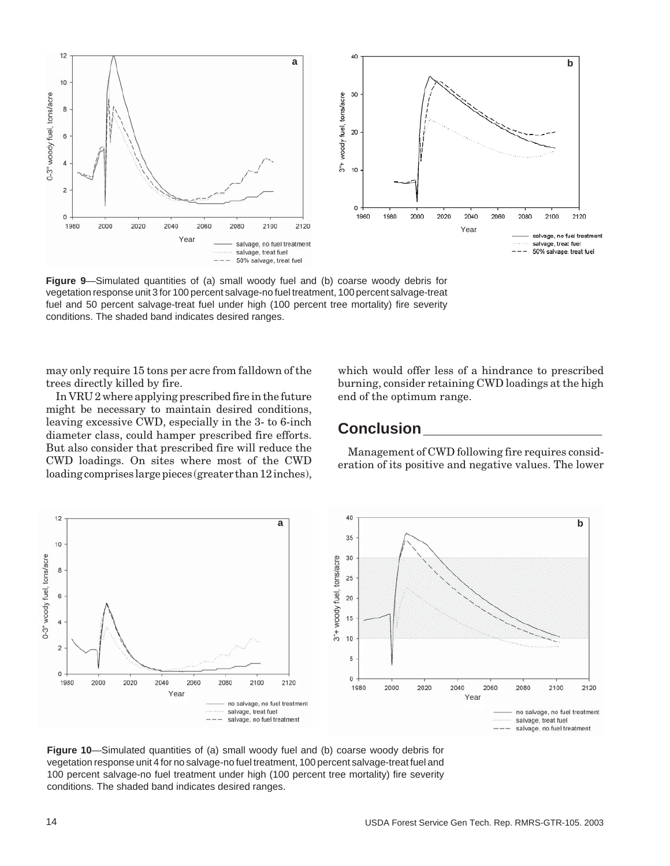

**Figure 9**—Simulated quantities of (a) small woody fuel and (b) coarse woody debris for vegetation response unit 3 for 100 percent salvage-no fuel treatment, 100 percent salvage-treat fuel and 50 percent salvage-treat fuel under high (100 percent tree mortality) fire severity conditions. The shaded band indicates desired ranges.

may only require 15 tons per acre from falldown of the trees directly killed by fire.

In VRU 2 where applying prescribed fire in the future might be necessary to maintain desired conditions, leaving excessive CWD, especially in the 3- to 6-inch diameter class, could hamper prescribed fire efforts. But also consider that prescribed fire will reduce the CWD loadings. On sites where most of the CWD loading comprises large pieces (greater than 12 inches),

which would offer less of a hindrance to prescribed burning, consider retaining CWD loadings at the high end of the optimum range.

## **Conclusion\_\_\_\_\_\_\_\_\_\_\_\_\_\_\_\_\_\_\_\_\_**

Management of CWD following fire requires consideration of its positive and negative values. The lower



**Figure 10**—Simulated quantities of (a) small woody fuel and (b) coarse woody debris for vegetation response unit 4 for no salvage-no fuel treatment, 100 percent salvage-treat fuel and 100 percent salvage-no fuel treatment under high (100 percent tree mortality) fire severity conditions. The shaded band indicates desired ranges.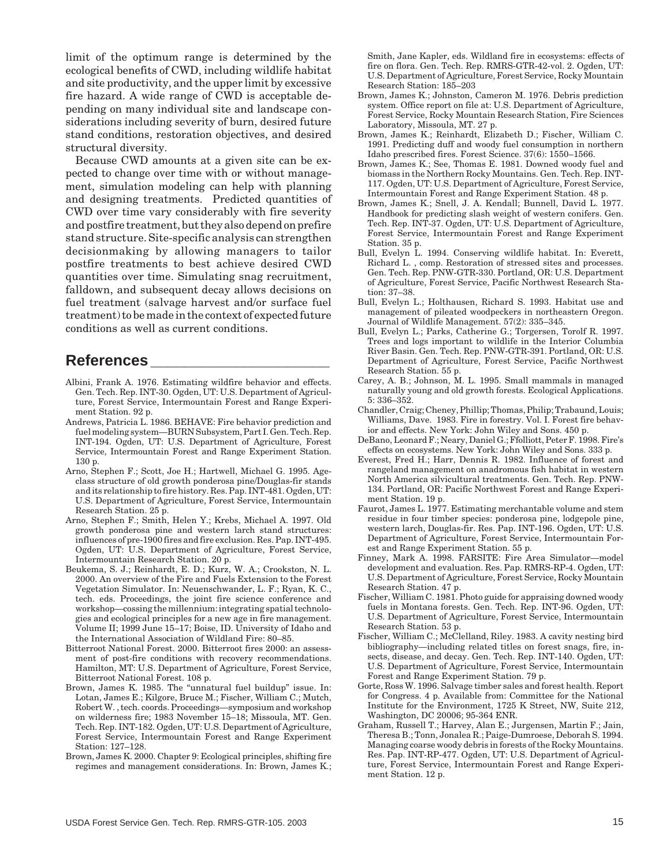limit of the optimum range is determined by the ecological benefits of CWD, including wildlife habitat and site productivity, and the upper limit by excessive fire hazard. A wide range of CWD is acceptable depending on many individual site and landscape considerations including severity of burn, desired future stand conditions, restoration objectives, and desired structural diversity.

Because CWD amounts at a given site can be expected to change over time with or without management, simulation modeling can help with planning and designing treatments. Predicted quantities of CWD over time vary considerably with fire severity and postfire treatment, but they also depend on prefire stand structure. Site-specific analysis can strengthen decisionmaking by allowing managers to tailor postfire treatments to best achieve desired CWD quantities over time. Simulating snag recruitment, falldown, and subsequent decay allows decisions on fuel treatment (salvage harvest and/or surface fuel treatment) to be made in the context of expected future conditions as well as current conditions.

## **References \_\_\_\_\_\_\_\_\_\_\_\_\_\_\_\_\_\_\_\_\_**

- Albini, Frank A. 1976. Estimating wildfire behavior and effects. Gen. Tech. Rep. INT-30. Ogden, UT: U.S. Department of Agriculture, Forest Service, Intermountain Forest and Range Experiment Station. 92 p.
- Andrews, Patricia L. 1986. BEHAVE: Fire behavior prediction and fuel modeling system—BURN Subsystem, Part I. Gen. Tech. Rep. INT-194. Ogden, UT: U.S. Department of Agriculture, Forest Service, Intermountain Forest and Range Experiment Station. 130 p.
- Arno, Stephen F.; Scott, Joe H.; Hartwell, Michael G. 1995. Ageclass structure of old growth ponderosa pine/Douglas-fir stands and its relationship to fire history. Res. Pap. INT-481. Ogden, UT: U.S. Department of Agriculture, Forest Service, Intermountain Research Station. 25 p.
- Arno, Stephen F.; Smith, Helen Y.; Krebs, Michael A. 1997. Old growth ponderosa pine and western larch stand structures: influences of pre-1900 fires and fire exclusion. Res. Pap. INT-495. Ogden, UT: U.S. Department of Agriculture, Forest Service, Intermountain Research Station. 20 p.
- Beukema, S. J.; Reinhardt, E. D.; Kurz, W. A.; Crookston, N. L. 2000. An overview of the Fire and Fuels Extension to the Forest Vegetation Simulator. In: Neuenschwander, L. F.; Ryan, K. C., tech. eds. Proceedings, the joint fire science conference and workshop—cossing the millennium: integrating spatial technologies and ecological principles for a new age in fire management. Volume II; 1999 June 15–17; Boise, ID. University of Idaho and the International Association of Wildland Fire: 80–85.
- Bitterroot National Forest. 2000. Bitterroot fires 2000: an assessment of post-fire conditions with recovery recommendations. Hamilton, MT: U.S. Department of Agriculture, Forest Service, Bitterroot National Forest. 108 p.
- Brown, James K. 1985. The "unnatural fuel buildup" issue. In: Lotan, James E.; Kilgore, Bruce M.; Fischer, William C.; Mutch, Robert W. , tech. coords. Proceedings—symposium and workshop on wilderness fire; 1983 November 15–18; Missoula, MT. Gen. Tech. Rep. INT-182. Ogden, UT: U.S. Department of Agriculture, Forest Service, Intermountain Forest and Range Experiment Station: 127–128.
- Brown, James K. 2000. Chapter 9: Ecological principles, shifting fire regimes and management considerations. In: Brown, James K.;

Smith, Jane Kapler, eds. Wildland fire in ecosystems: effects of fire on flora. Gen. Tech. Rep. RMRS-GTR-42-vol. 2. Ogden, UT: U.S. Department of Agriculture, Forest Service, Rocky Mountain Research Station: 185–203

- Brown, James K.; Johnston, Cameron M. 1976. Debris prediction system. Office report on file at: U.S. Department of Agriculture, Forest Service, Rocky Mountain Research Station, Fire Sciences Laboratory, Missoula, MT. 27 p.
- Brown, James K.; Reinhardt, Elizabeth D.; Fischer, William C. 1991. Predicting duff and woody fuel consumption in northern Idaho prescribed fires. Forest Science. 37(6): 1550–1566.
- Brown, James K.; See, Thomas E. 1981. Downed woody fuel and biomass in the Northern Rocky Mountains. Gen. Tech. Rep. INT-117. Ogden, UT: U.S. Department of Agriculture, Forest Service, Intermountain Forest and Range Experiment Station. 48 p.
- Brown, James K.; Snell, J. A. Kendall; Bunnell, David L. 1977. Handbook for predicting slash weight of western conifers. Gen. Tech. Rep. INT-37. Ogden, UT: U.S. Department of Agriculture, Forest Service, Intermountain Forest and Range Experiment Station. 35 p.
- Bull, Evelyn L. 1994. Conserving wildlife habitat. In: Everett, Richard L. , comp. Restoration of stressed sites and processes. Gen. Tech. Rep. PNW-GTR-330. Portland, OR: U.S. Department of Agriculture, Forest Service, Pacific Northwest Research Station: 37–38.
- Bull, Evelyn L.; Holthausen, Richard S. 1993. Habitat use and management of pileated woodpeckers in northeastern Oregon. Journal of Wildlife Management. 57(2): 335–345.
- Bull, Evelyn L.; Parks, Catherine G.; Torgersen, Torolf R. 1997. Trees and logs important to wildlife in the Interior Columbia River Basin. Gen. Tech. Rep. PNW-GTR-391. Portland, OR: U.S. Department of Agriculture, Forest Service, Pacific Northwest Research Station. 55 p.
- Carey, A. B.; Johnson, M. L. 1995. Small mammals in managed naturally young and old growth forests. Ecological Applications. 5: 336–352.
- Chandler, Craig; Cheney, Phillip; Thomas, Philip; Trabaund, Louis; Williams, Dave. 1983. Fire in forestry. Vol. I. Forest fire behavior and effects. New York: John Wiley and Sons. 450 p.
- DeBano, Leonard F.; Neary, Daniel G.; Ffolliott, Peter F. 1998. Fire's effects on ecosystems. New York: John Wiley and Sons. 333 p.
- Everest, Fred H.; Harr, Dennis R. 1982. Influence of forest and rangeland management on anadromous fish habitat in western North America silvicultural treatments. Gen. Tech. Rep. PNW-134. Portland, OR: Pacific Northwest Forest and Range Experiment Station. 19 p.
- Faurot, James L. 1977. Estimating merchantable volume and stem residue in four timber species: ponderosa pine, lodgepole pine, western larch, Douglas-fir. Res. Pap. INT-196. Ogden, UT: U.S. Department of Agriculture, Forest Service, Intermountain Forest and Range Experiment Station. 55 p.
- Finney, Mark A. 1998. FARSITE: Fire Area Simulator—model development and evaluation. Res. Pap. RMRS-RP-4. Ogden, UT: U.S. Department of Agriculture, Forest Service, Rocky Mountain Research Station. 47 p.
- Fischer, William C. 1981. Photo guide for appraising downed woody fuels in Montana forests. Gen. Tech. Rep. INT-96. Ogden, UT: U.S. Department of Agriculture, Forest Service, Intermountain Research Station. 53 p.
- Fischer, William C.; McClelland, Riley. 1983. A cavity nesting bird bibliography—including related titles on forest snags, fire, insects, disease, and decay. Gen. Tech. Rep. INT-140. Ogden, UT: U.S. Department of Agriculture, Forest Service, Intermountain Forest and Range Experiment Station. 79 p.
- Gorte, Ross W. 1996. Salvage timber sales and forest health. Report for Congress. 4 p. Available from: Committee for the National Institute for the Environment, 1725 K Street, NW, Suite 212, Washington, DC 20006; 95-364 ENR.
- Graham, Russell T.; Harvey, Alan E.; Jurgensen, Martin F.; Jain, Theresa B.; Tonn, Jonalea R.; Paige-Dumroese, Deborah S. 1994. Managing coarse woody debris in forests of the Rocky Mountains. Res. Pap. INT-RP-477. Ogden, UT: U.S. Department of Agriculture, Forest Service, Intermountain Forest and Range Experiment Station. 12 p.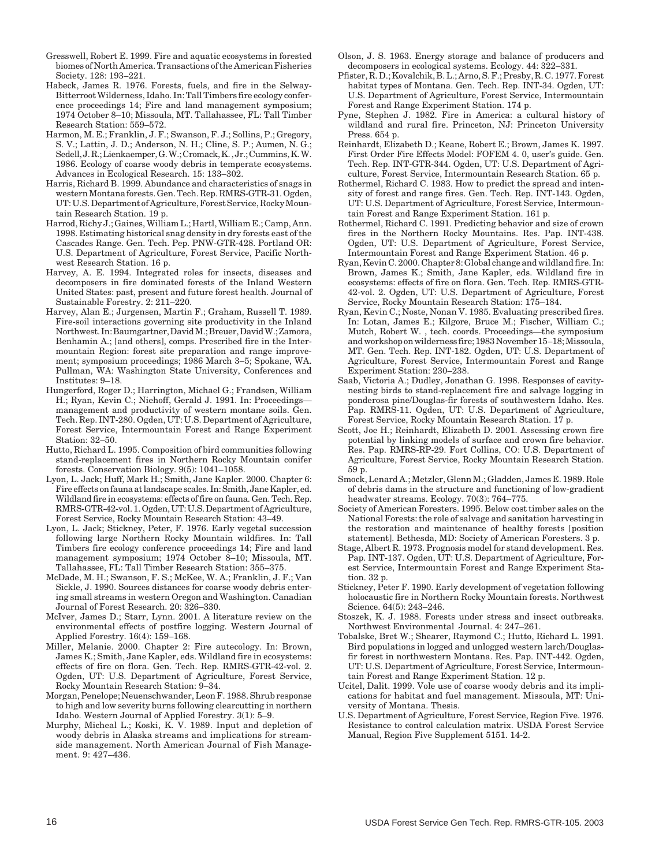- Gresswell, Robert E. 1999. Fire and aquatic ecosystems in forested biomes of North America. Transactions of the American Fisheries Society. 128: 193–221.
- Habeck, James R. 1976. Forests, fuels, and fire in the Selway-Bitterroot Wilderness, Idaho. In: Tall Timbers fire ecology conference proceedings 14; Fire and land management symposium; 1974 October 8–10; Missoula, MT. Tallahassee, FL: Tall Timber Research Station: 559–572.
- Harmon, M. E.; Franklin, J. F.; Swanson, F. J.; Sollins, P.; Gregory, S. V.; Lattin, J. D.; Anderson, N. H.; Cline, S. P.; Aumen, N. G.; Sedell, J. R.; Lienkaemper, G. W.; Cromack, K. , Jr.; Cummins, K. W. 1986. Ecology of coarse woody debris in temperate ecosystems. Advances in Ecological Research. 15: 133–302.
- Harris, Richard B. 1999. Abundance and characteristics of snags in western Montana forests. Gen. Tech. Rep. RMRS-GTR-31. Ogden, UT: U.S. Department of Agriculture, Forest Service, Rocky Mountain Research Station. 19 p.
- Harrod, Richy J.; Gaines, William L.; Hartl, William E.; Camp, Ann. 1998. Estimating historical snag density in dry forests east of the Cascades Range. Gen. Tech. Pep. PNW-GTR-428. Portland OR: U.S. Department of Agriculture, Forest Service, Pacific Northwest Research Station. 16 p.
- Harvey, A. E. 1994. Integrated roles for insects, diseases and decomposers in fire dominated forests of the Inland Western United States: past, present and future forest health. Journal of Sustainable Forestry. 2: 211–220.
- Harvey, Alan E.; Jurgensen, Martin F.; Graham, Russell T. 1989. Fire-soil interactions governing site productivity in the Inland Northwest. In: Baumgartner, David M.; Breuer, David W.; Zamora, Benhamin A.; [and others], comps. Prescribed fire in the Intermountain Region: forest site preparation and range improvement; symposium proceedings; 1986 March 3–5; Spokane, WA. Pullman, WA: Washington State University, Conferences and Institutes: 9–18.
- Hungerford, Roger D.; Harrington, Michael G.; Frandsen, William H.; Ryan, Kevin C.; Niehoff, Gerald J. 1991. In: Proceedingsmanagement and productivity of western montane soils. Gen. Tech. Rep. INT-280. Ogden, UT: U.S. Department of Agriculture, Forest Service, Intermountain Forest and Range Experiment Station: 32–50.
- Hutto, Richard L. 1995. Composition of bird communities following stand-replacement fires in Northern Rocky Mountain conifer forests. Conservation Biology. 9(5): 1041–1058.
- Lyon, L. Jack; Huff, Mark H.; Smith, Jane Kapler. 2000. Chapter 6: Fire effects on fauna at landscape scales. In: Smith, Jane Kapler, ed. Wildland fire in ecosystems: effects of fire on fauna. Gen. Tech. Rep. RMRS-GTR-42-vol. 1. Ogden, UT: U.S. Department of Agriculture, Forest Service, Rocky Mountain Research Station: 43–49.
- Lyon, L. Jack; Stickney, Peter, F. 1976. Early vegetal succession following large Northern Rocky Mountain wildfires. In: Tall Timbers fire ecology conference proceedings 14; Fire and land management symposium; 1974 October 8–10; Missoula, MT. Tallahassee, FL: Tall Timber Research Station: 355–375.
- McDade, M. H.; Swanson, F. S.; McKee, W. A.; Franklin, J. F.; Van Sickle, J. 1990. Sources distances for coarse woody debris entering small streams in western Oregon and Washington. Canadian Journal of Forest Research. 20: 326–330.
- McIver, James D.; Starr, Lynn. 2001. A literature review on the environmental effects of postfire logging. Western Journal of Applied Forestry. 16(4): 159–168.
- Miller, Melanie. 2000. Chapter 2: Fire autecology. In: Brown, James K.; Smith, Jane Kapler, eds. Wildland fire in ecosystems: effects of fire on flora. Gen. Tech. Rep. RMRS-GTR-42-vol. 2. Ogden, UT: U.S. Department of Agriculture, Forest Service, Rocky Mountain Research Station: 9–34.
- Morgan, Penelope; Neuenschwander, Leon F. 1988. Shrub response to high and low severity burns following clearcutting in northern Idaho. Western Journal of Applied Forestry. 3(1): 5–9.
- Murphy, Micheal L.; Koski, K. V. 1989. Input and depletion of woody debris in Alaska streams and implications for streamside management. North American Journal of Fish Management. 9: 427–436.
- Olson, J. S. 1963. Energy storage and balance of producers and decomposers in ecological systems. Ecology. 44: 322–331.
- Pfister, R. D.; Kovalchik, B. L.; Arno, S. F.; Presby, R. C. 1977. Forest habitat types of Montana. Gen. Tech. Rep. INT-34. Ogden, UT: U.S. Department of Agriculture, Forest Service, Intermountain Forest and Range Experiment Station. 174 p.
- Pyne, Stephen J. 1982. Fire in America: a cultural history of wildland and rural fire. Princeton, NJ: Princeton University Press. 654 p.
- Reinhardt, Elizabeth D.; Keane, Robert E.; Brown, James K. 1997. First Order Fire Effects Model: FOFEM 4. 0, user's guide. Gen. Tech. Rep. INT-GTR-344. Ogden, UT: U.S. Department of Agriculture, Forest Service, Intermountain Research Station. 65 p.
- Rothermel, Richard C. 1983. How to predict the spread and intensity of forest and range fires. Gen. Tech. Rep. INT-143. Ogden, UT: U.S. Department of Agriculture, Forest Service, Intermountain Forest and Range Experiment Station. 161 p.
- Rothermel, Richard C. 1991. Predicting behavior and size of crown fires in the Northern Rocky Mountains. Res. Pap. INT-438. Ogden, UT: U.S. Department of Agriculture, Forest Service, Intermountain Forest and Range Experiment Station. 46 p.
- Ryan, Kevin C. 2000. Chapter 8: Global change and wildland fire. In: Brown, James K.; Smith, Jane Kapler, eds. Wildland fire in ecosystems: effects of fire on flora. Gen. Tech. Rep. RMRS-GTR-42-vol. 2. Ogden, UT: U.S. Department of Agriculture, Forest Service, Rocky Mountain Research Station: 175–184.
- Ryan, Kevin C.; Noste, Nonan V. 1985. Evaluating prescribed fires. In: Lotan, James E.; Kilgore, Bruce M.; Fischer, William C.; Mutch, Robert W. , tech. coords. Proceedings—the symposium and workshop on wilderness fire; 1983 November 15–18; Missoula, MT. Gen. Tech. Rep. INT-182. Ogden, UT: U.S. Department of Agriculture, Forest Service, Intermountain Forest and Range Experiment Station: 230–238.
- Saab, Victoria A.; Dudley, Jonathan G. 1998. Responses of cavitynesting birds to stand-replacement fire and salvage logging in ponderosa pine/Douglas-fir forests of southwestern Idaho. Res. Pap. RMRS-11. Ogden, UT: U.S. Department of Agriculture, Forest Service, Rocky Mountain Research Station. 17 p.
- Scott, Joe H.; Reinhardt, Elizabeth D. 2001. Assessing crown fire potential by linking models of surface and crown fire behavior. Res. Pap. RMRS-RP-29. Fort Collins, CO: U.S. Department of Agriculture, Forest Service, Rocky Mountain Research Station. 59 p.
- Smock, Lenard A.; Metzler, Glenn M.; Gladden, James E. 1989. Role of debris dams in the structure and functioning of low-gradient headwater streams. Ecology. 70(3): 764–775.
- Society of American Foresters. 1995. Below cost timber sales on the National Forests: the role of salvage and sanitation harvesting in the restoration and maintenance of healthy forests [position statement]. Bethesda, MD: Society of American Foresters. 3 p.
- Stage, Albert R. 1973. Prognosis model for stand development. Res. Pap. INT-137. Ogden, UT: U.S. Department of Agriculture, Forest Service, Intermountain Forest and Range Experiment Station. 32 p.
- Stickney, Peter F. 1990. Early development of vegetation following holocaustic fire in Northern Rocky Mountain forests. Northwest Science. 64(5): 243–246.
- Stoszek, K. J. 1988. Forests under stress and insect outbreaks. Northwest Environmental Journal. 4: 247–261.
- Tobalske, Bret W.; Shearer, Raymond C.; Hutto, Richard L. 1991. Bird populations in logged and unlogged western larch/Douglasfir forest in northwestern Montana. Res. Pap. INT-442. Ogden, UT: U.S. Department of Agriculture, Forest Service, Intermountain Forest and Range Experiment Station. 12 p.
- Ucitel, Dalit. 1999. Vole use of coarse woody debris and its implications for habitat and fuel management. Missoula, MT: University of Montana. Thesis.
- U.S. Department of Agriculture, Forest Service, Region Five. 1976. Resistance to control calculation matrix. USDA Forest Service Manual, Region Five Supplement 5151. 14-2.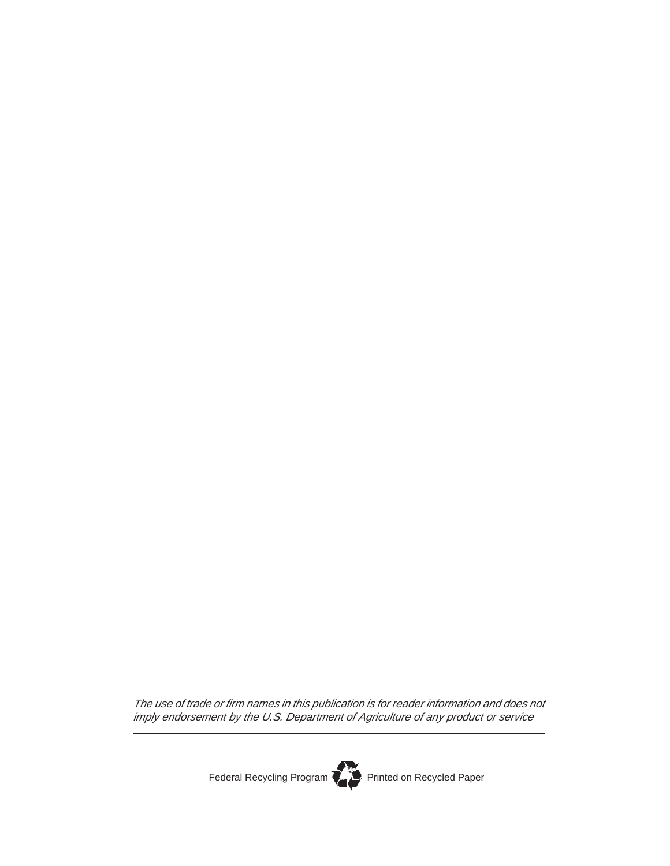The use of trade or firm names in this publication is for reader information and does not imply endorsement by the U.S. Department of Agriculture of any product or service